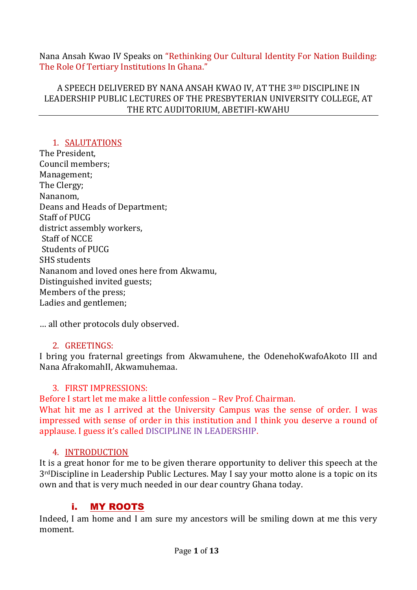Nana Ansah Kwao IV Speaks on "Rethinking Our Cultural Identity For Nation Building: The Role Of Tertiary Institutions In Ghana."

A SPEECH DELIVERED BY NANA ANSAH KWAO IV, AT THE 3RD DISCIPLINE IN LEADERSHIP PUBLIC LECTURES OF THE PRESBYTERIAN UNIVERSITY COLLEGE, AT THE RTC AUDITORIUM, ABETIFI-KWAHU

## 1. SALUTATIONS

The President, Council members; Management; The Clergy; Nananom, Deans and Heads of Department; Staff of PUCG district assembly workers, Staff of NCCE Students of PUCG SHS students Nananom and loved ones here from Akwamu, Distinguished invited guests; Members of the press; Ladies and gentlemen;

… all other protocols duly observed.

## 2. GREETINGS:

I bring you fraternal greetings from Akwamuhene, the OdenehoKwafoAkoto III and Nana AfrakomahII, Akwamuhemaa.

## 3. FIRST IMPRESSIONS:

Before I start let me make a little confession – Rev Prof. Chairman.

What hit me as I arrived at the University Campus was the sense of order. I was impressed with sense of order in this institution and I think you deserve a round of applause. I guess it's called DISCIPLINE IN LEADERSHIP.

#### 4. INTRODUCTION

It is a great honor for me to be given therare opportunity to deliver this speech at the 3rdDiscipline in Leadership Public Lectures. May I say your motto alone is a topic on its own and that is very much needed in our dear country Ghana today.

## i. MY ROOTS

Indeed, I am home and I am sure my ancestors will be smiling down at me this very moment.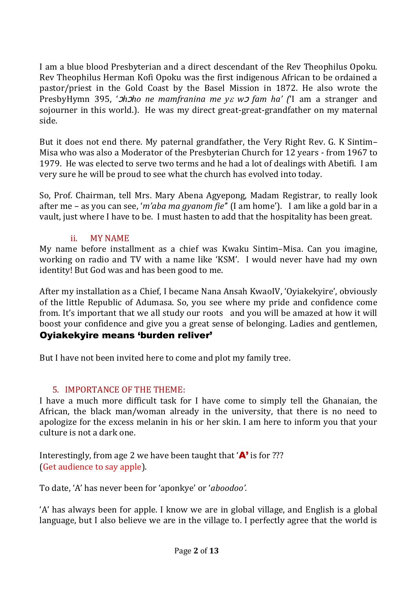I am a blue blood Presbyterian and a direct descendant of the Rev Theophilus Opoku. Rev Theophilus Herman Kofi Opoku was the first indigenous African to be ordained a pastor/priest in the Gold Coast by the Basel Mission in 1872. He also wrote the PresbyHymn 395, 'ↄ*h*ↄ*ho ne mamfranina me y w*<sup>ↄ</sup> *fam ha' (*'I am a stranger and sojourner in this world.). He was my direct great-great-grandfather on my maternal side.

But it does not end there. My paternal grandfather, the Very Right Rev. G. K Sintim– Misa who was also a Moderator of the Presbyterian Church for 12 years - from 1967 to 1979. He was elected to serve two terms and he had a lot of dealings with Abetifi. I am very sure he will be proud to see what the church has evolved into today.

So, Prof. Chairman, tell Mrs. Mary Abena Agyepong, Madam Registrar, to really look after me – as you can see, '*m'aba ma gyanom fie'*' (I am home'). I am like a gold bar in a vault, just where I have to be. I must hasten to add that the hospitality has been great.

## ii. MY NAME

My name before installment as a chief was Kwaku Sintim–Misa. Can you imagine, working on radio and TV with a name like 'KSM'. I would never have had my own identity! But God was and has been good to me.

After my installation as a Chief, I became Nana Ansah KwaoIV, 'Oyiakekyire', obviously of the little Republic of Adumasa. So, you see where my pride and confidence come from. It's important that we all study our roots and you will be amazed at how it will boost your confidence and give you a great sense of belonging. Ladies and gentlemen,

## Oyiakekyire means 'burden reliver'

But I have not been invited here to come and plot my family tree.

# 5. IMPORTANCE OF THE THEME:

I have a much more difficult task for I have come to simply tell the Ghanaian, the African, the black man/woman already in the university, that there is no need to apologize for the excess melanin in his or her skin. I am here to inform you that your culture is not a dark one.

Interestingly, from age 2 we have been taught that  $\mathbf{A}'$  is for ??? (Get audience to say apple).

To date, 'A' has never been for 'aponkye' or '*aboodoo'.*

'A' has always been for apple. I know we are in global village, and English is a global language, but I also believe we are in the village to. I perfectly agree that the world is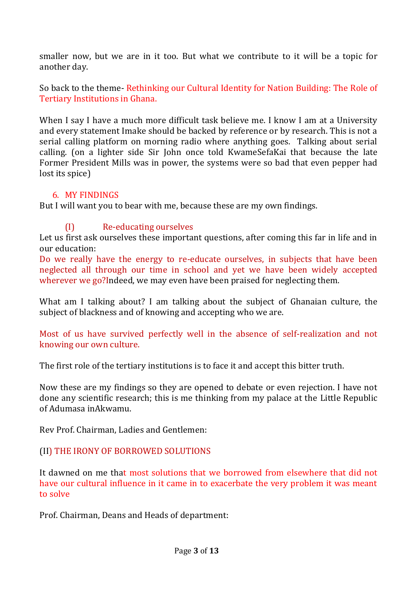smaller now, but we are in it too. But what we contribute to it will be a topic for another day.

So back to the theme- Rethinking our Cultural Identity for Nation Building: The Role of Tertiary Institutions in Ghana.

When I say I have a much more difficult task believe me. I know I am at a University and every statement Imake should be backed by reference or by research. This is not a serial calling platform on morning radio where anything goes. Talking about serial calling. (on a lighter side Sir John once told KwameSefaKai that because the late Former President Mills was in power, the systems were so bad that even pepper had lost its spice)

### 6. MY FINDINGS

But I will want you to bear with me, because these are my own findings.

# (I) Re-educating ourselves

Let us first ask ourselves these important questions, after coming this far in life and in our education:

Do we really have the energy to re-educate ourselves, in subjects that have been neglected all through our time in school and yet we have been widely accepted wherever we go?Indeed, we may even have been praised for neglecting them.

What am I talking about? I am talking about the subject of Ghanaian culture, the subject of blackness and of knowing and accepting who we are.

Most of us have survived perfectly well in the absence of self-realization and not knowing our own culture.

The first role of the tertiary institutions is to face it and accept this bitter truth.

Now these are my findings so they are opened to debate or even rejection. I have not done any scientific research; this is me thinking from my palace at the Little Republic of Adumasa inAkwamu.

Rev Prof. Chairman, Ladies and Gentlemen:

## (II) THE IRONY OF BORROWED SOLUTIONS

It dawned on me that most solutions that we borrowed from elsewhere that did not have our cultural influence in it came in to exacerbate the very problem it was meant to solve

Prof. Chairman, Deans and Heads of department: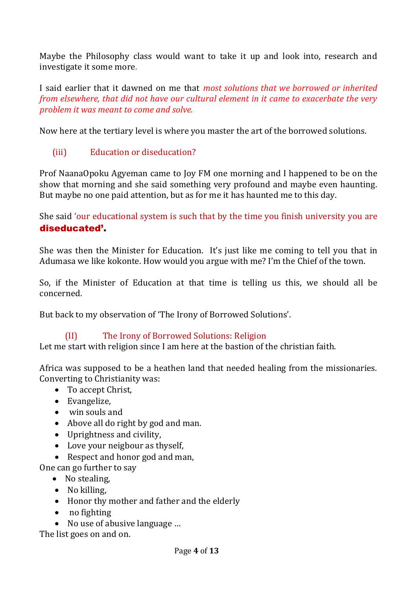Maybe the Philosophy class would want to take it up and look into, research and investigate it some more.

I said earlier that it dawned on me that *most solutions that we borrowed or inherited from elsewhere, that did not have our cultural element in it came to exacerbate the very problem it was meant to come and solve.* 

Now here at the tertiary level is where you master the art of the borrowed solutions.

(iii) Education or diseducation?

Prof NaanaOpoku Agyeman came to Joy FM one morning and I happened to be on the show that morning and she said something very profound and maybe even haunting. But maybe no one paid attention, but as for me it has haunted me to this day.

She said 'our educational system is such that by the time you finish university you are diseducated'.

She was then the Minister for Education. It's just like me coming to tell you that in Adumasa we like kokonte. How would you argue with me? I'm the Chief of the town.

So, if the Minister of Education at that time is telling us this, we should all be concerned.

But back to my observation of 'The Irony of Borrowed Solutions'.

# (II) The Irony of Borrowed Solutions: Religion

Let me start with religion since I am here at the bastion of the christian faith.

Africa was supposed to be a heathen land that needed healing from the missionaries. Converting to Christianity was:

- To accept Christ,
- Evangelize,
- win souls and
- Above all do right by god and man.
- Uprightness and civility,
- Love your neigbour as thyself,
- Respect and honor god and man,

One can go further to say

- No stealing,
- No killing,
- Honor thy mother and father and the elderly
- no fighting
- No use of abusive language ...

The list goes on and on.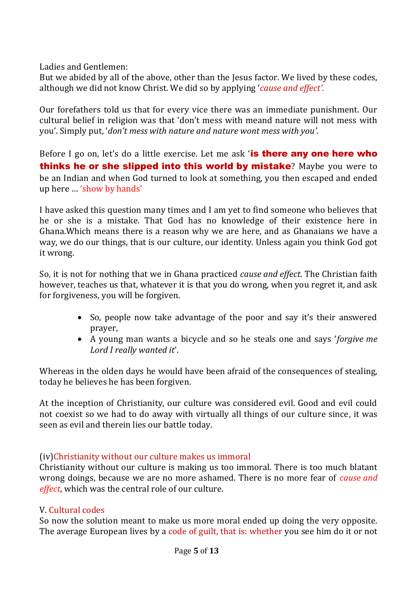Ladies and Gentlemen:

But we abided by all of the above, other than the Jesus factor. We lived by these codes, although we did not know Christ. We did so by applying '*cause and effect'.*

Our forefathers told us that for every vice there was an immediate punishment. Our cultural belief in religion was that 'don't mess with meand nature will not mess with you'. Simply put, '*don't mess with nature and nature wont mess with you'*.

Before I go on, let's do a little exercise. Let me ask 'is there any one here who thinks he or she slipped into this world by mistake? Maybe you were to be an Indian and when God turned to look at something, you then escaped and ended up here … 'show by hands'

I have asked this question many times and I am yet to find someone who believes that he or she is a mistake. That God has no knowledge of their existence here in Ghana.Which means there is a reason why we are here, and as Ghanaians we have a way, we do our things, that is our culture, our identity. Unless again you think God got it wrong.

So, it is not for nothing that we in Ghana practiced *cause and effect*. The Christian faith however, teaches us that, whatever it is that you do wrong, when you regret it, and ask for forgiveness, you will be forgiven.

- So, people now take advantage of the poor and say it's their answered prayer,
- A young man wants a bicycle and so he steals one and says '*forgive me Lord I really wanted it*'.

Whereas in the olden days he would have been afraid of the consequences of stealing, today he believes he has been forgiven.

At the inception of Christianity, our culture was considered evil. Good and evil could not coexist so we had to do away with virtually all things of our culture since, it was seen as evil and therein lies our battle today.

#### (iv)Christianity without our culture makes us immoral

Christianity without our culture is making us too immoral. There is too much blatant wrong doings, because we are no more ashamed. There is no more fear of *cause and effect*, which was the central role of our culture.

#### V. Cultural codes

So now the solution meant to make us more moral ended up doing the very opposite. The average European lives by a code of guilt, that is: whether you see him do it or not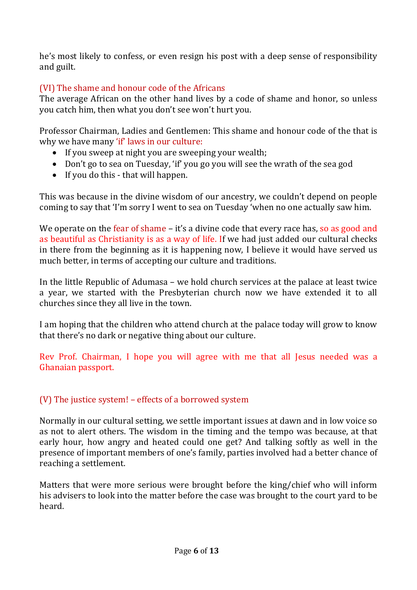he's most likely to confess, or even resign his post with a deep sense of responsibility and guilt.

# (VI) The shame and honour code of the Africans

The average African on the other hand lives by a code of shame and honor, so unless you catch him, then what you don't see won't hurt you.

Professor Chairman, Ladies and Gentlemen: This shame and honour code of the that is why we have many 'if' laws in our culture:

- If you sweep at night you are sweeping your wealth;
- Don't go to sea on Tuesday, 'if' you go you will see the wrath of the sea god
- $\bullet$  If you do this that will happen.

This was because in the divine wisdom of our ancestry, we couldn't depend on people coming to say that 'I'm sorry I went to sea on Tuesday 'when no one actually saw him.

We operate on the fear of shame – it's a divine code that every race has, so as good and as beautiful as Christianity is as a way of life. If we had just added our cultural checks in there from the beginning as it is happening now, I believe it would have served us much better, in terms of accepting our culture and traditions.

In the little Republic of Adumasa – we hold church services at the palace at least twice a year, we started with the Presbyterian church now we have extended it to all churches since they all live in the town.

I am hoping that the children who attend church at the palace today will grow to know that there's no dark or negative thing about our culture.

Rev Prof. Chairman, I hope you will agree with me that all Jesus needed was a Ghanaian passport.

## (V) The justice system! – effects of a borrowed system

Normally in our cultural setting, we settle important issues at dawn and in low voice so as not to alert others. The wisdom in the timing and the tempo was because, at that early hour, how angry and heated could one get? And talking softly as well in the presence of important members of one's family, parties involved had a better chance of reaching a settlement.

Matters that were more serious were brought before the king/chief who will inform his advisers to look into the matter before the case was brought to the court yard to be heard.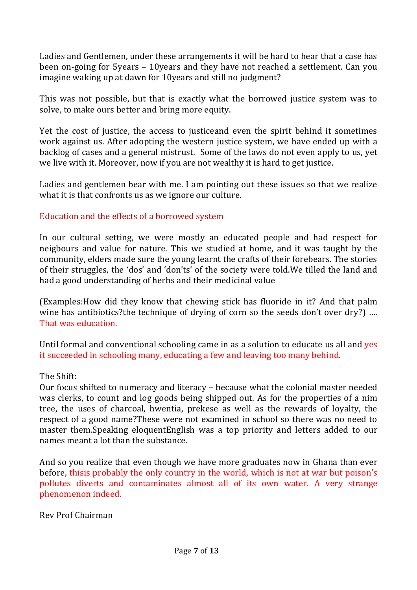Ladies and Gentlemen, under these arrangements it will be hard to hear that a case has been on-going for 5years – 10years and they have not reached a settlement. Can you imagine waking up at dawn for 10years and still no judgment?

This was not possible, but that is exactly what the borrowed justice system was to solve, to make ours better and bring more equity.

Yet the cost of justice, the access to justiceand even the spirit behind it sometimes work against us. After adopting the western justice system, we have ended up with a backlog of cases and a general mistrust. Some of the laws do not even apply to us, yet we live with it. Moreover, now if you are not wealthy it is hard to get justice.

Ladies and gentlemen bear with me. I am pointing out these issues so that we realize what it is that confronts us as we ignore our culture.

## Education and the effects of a borrowed system

In our cultural setting, we were mostly an educated people and had respect for neigbours and value for nature. This we studied at home, and it was taught by the community, elders made sure the young learnt the crafts of their forebears. The stories of their struggles, the 'dos' and 'don'ts' of the society were told.We tilled the land and had a good understanding of herbs and their medicinal value

(Examples:How did they know that chewing stick has fluoride in it? And that palm wine has antibiotics?the technique of drying of corn so the seeds don't over dry?) .... That was education.

Until formal and conventional schooling came in as a solution to educate us all and yes it succeeded in schooling many, educating a few and leaving too many behind.

#### The Shift:

Our focus shifted to numeracy and literacy – because what the colonial master needed was clerks, to count and log goods being shipped out. As for the properties of a nim tree, the uses of charcoal, hwentia, prekese as well as the rewards of loyalty, the respect of a good name?These were not examined in school so there was no need to master them.Speaking eloquentEnglish was a top priority and letters added to our names meant a lot than the substance.

And so you realize that even though we have more graduates now in Ghana than ever before, thisis probably the only country in the world, which is not at war but poison's pollutes diverts and contaminates almost all of its own water. A very strange phenomenon indeed.

Rev Prof Chairman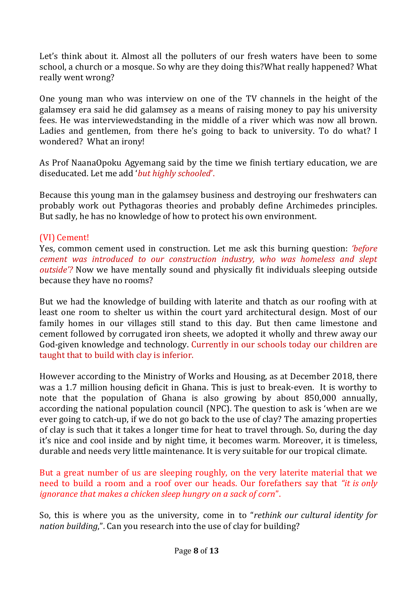Let's think about it. Almost all the polluters of our fresh waters have been to some school, a church or a mosque. So why are they doing this?What really happened? What really went wrong?

One young man who was interview on one of the TV channels in the height of the galamsey era said he did galamsey as a means of raising money to pay his university fees. He was interviewedstanding in the middle of a river which was now all brown. Ladies and gentlemen, from there he's going to back to university. To do what? I wondered? What an irony!

As Prof NaanaOpoku Agyemang said by the time we finish tertiary education, we are diseducated. Let me add '*but highly schooled*'.

Because this young man in the galamsey business and destroying our freshwaters can probably work out Pythagoras theories and probably define Archimedes principles. But sadly, he has no knowledge of how to protect his own environment.

### (VI) Cement!

Yes, common cement used in construction. Let me ask this burning question: *'before cement was introduced to our construction industry, who was homeless and slept outside'?* Now we have mentally sound and physically fit individuals sleeping outside because they have no rooms?

But we had the knowledge of building with laterite and thatch as our roofing with at least one room to shelter us within the court yard architectural design. Most of our family homes in our villages still stand to this day. But then came limestone and cement followed by corrugated iron sheets, we adopted it wholly and threw away our God-given knowledge and technology. Currently in our schools today our children are taught that to build with clay is inferior.

However according to the Ministry of Works and Housing, as at December 2018, there was a 1.7 million housing deficit in Ghana. This is just to break-even. It is worthy to note that the population of Ghana is also growing by about 850,000 annually, according the national population council (NPC). The question to ask is 'when are we ever going to catch-up, if we do not go back to the use of clay? The amazing properties of clay is such that it takes a longer time for heat to travel through. So, during the day it's nice and cool inside and by night time, it becomes warm. Moreover, it is timeless, durable and needs very little maintenance. It is very suitable for our tropical climate.

But a great number of us are sleeping roughly, on the very laterite material that we need to build a room and a roof over our heads. Our forefathers say that *"it is only ignorance that makes a chicken sleep hungry on a sack of corn*".

So, this is where you as the university, come in to "*rethink our cultural identity for nation building*,". Can you research into the use of clay for building?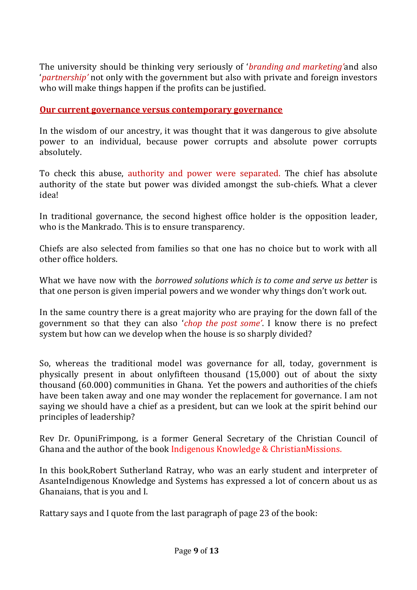The university should be thinking very seriously of '*branding and marketing'*and also '*partnership'* not only with the government but also with private and foreign investors who will make things happen if the profits can be justified.

### **Our current governance versus contemporary governance**

In the wisdom of our ancestry, it was thought that it was dangerous to give absolute power to an individual, because power corrupts and absolute power corrupts absolutely.

To check this abuse, authority and power were separated. The chief has absolute authority of the state but power was divided amongst the sub-chiefs. What a clever idea!

In traditional governance, the second highest office holder is the opposition leader, who is the Mankrado. This is to ensure transparency.

Chiefs are also selected from families so that one has no choice but to work with all other office holders.

What we have now with the *borrowed solutions which is to come and serve us better* is that one person is given imperial powers and we wonder why things don't work out.

In the same country there is a great majority who are praying for the down fall of the government so that they can also '*chop the post some'*. I know there is no prefect system but how can we develop when the house is so sharply divided?

So, whereas the traditional model was governance for all, today, government is physically present in about onlyfifteen thousand (15,000) out of about the sixty thousand (60.000) communities in Ghana. Yet the powers and authorities of the chiefs have been taken away and one may wonder the replacement for governance. I am not saying we should have a chief as a president, but can we look at the spirit behind our principles of leadership?

Rev Dr. OpuniFrimpong, is a former General Secretary of the Christian Council of Ghana and the author of the book Indigenous Knowledge & ChristianMissions.

In this book,Robert Sutherland Ratray, who was an early student and interpreter of AsanteIndigenous Knowledge and Systems has expressed a lot of concern about us as Ghanaians, that is you and I.

Rattary says and I quote from the last paragraph of page 23 of the book: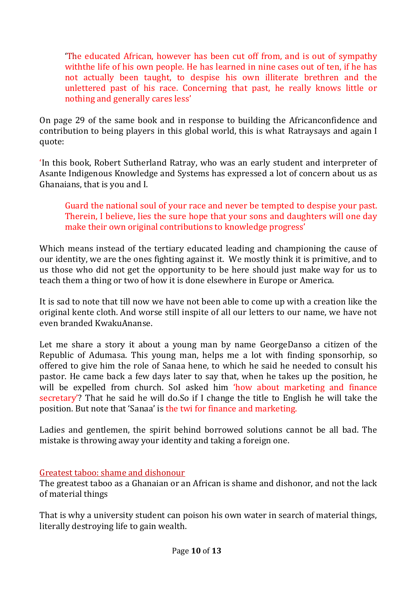'The educated African, however has been cut off from, and is out of sympathy withthe life of his own people. He has learned in nine cases out of ten, if he has not actually been taught, to despise his own illiterate brethren and the unlettered past of his race. Concerning that past, he really knows little or nothing and generally cares less'

On page 29 of the same book and in response to building the Africanconfidence and contribution to being players in this global world, this is what Ratraysays and again I quote:

'In this book, Robert Sutherland Ratray, who was an early student and interpreter of Asante Indigenous Knowledge and Systems has expressed a lot of concern about us as Ghanaians, that is you and I.

Guard the national soul of your race and never be tempted to despise your past. Therein, I believe, lies the sure hope that your sons and daughters will one day make their own original contributions to knowledge progress'

Which means instead of the tertiary educated leading and championing the cause of our identity, we are the ones fighting against it. We mostly think it is primitive, and to us those who did not get the opportunity to be here should just make way for us to teach them a thing or two of how it is done elsewhere in Europe or America.

It is sad to note that till now we have not been able to come up with a creation like the original kente cloth. And worse still inspite of all our letters to our name, we have not even branded KwakuAnanse.

Let me share a story it about a young man by name GeorgeDanso a citizen of the Republic of Adumasa. This young man, helps me a lot with finding sponsorhip, so offered to give him the role of Sanaa hene, to which he said he needed to consult his pastor. He came back a few days later to say that, when he takes up the position, he will be expelled from church. Sol asked him 'how about marketing and finance secretary'? That he said he will do.So if I change the title to English he will take the position. But note that 'Sanaa' is the twi for finance and marketing.

Ladies and gentlemen, the spirit behind borrowed solutions cannot be all bad. The mistake is throwing away your identity and taking a foreign one.

## Greatest taboo: shame and dishonour

The greatest taboo as a Ghanaian or an African is shame and dishonor, and not the lack of material things

That is why a university student can poison his own water in search of material things, literally destroying life to gain wealth.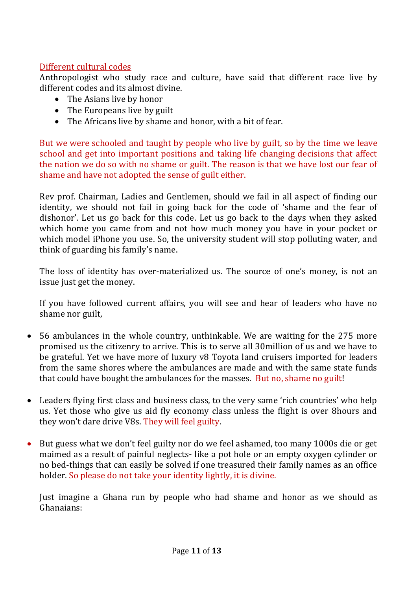## Different cultural codes

Anthropologist who study race and culture, have said that different race live by different codes and its almost divine.

- The Asians live by honor
- The Europeans live by guilt
- The Africans live by shame and honor, with a bit of fear.

But we were schooled and taught by people who live by guilt, so by the time we leave school and get into important positions and taking life changing decisions that affect the nation we do so with no shame or guilt. The reason is that we have lost our fear of shame and have not adopted the sense of guilt either.

Rev prof. Chairman, Ladies and Gentlemen, should we fail in all aspect of finding our identity, we should not fail in going back for the code of 'shame and the fear of dishonor'. Let us go back for this code. Let us go back to the days when they asked which home you came from and not how much money you have in your pocket or which model iPhone you use. So, the university student will stop polluting water, and think of guarding his family's name.

The loss of identity has over-materialized us. The source of one's money, is not an issue just get the money.

If you have followed current affairs, you will see and hear of leaders who have no shame nor guilt,

- 56 ambulances in the whole country, unthinkable. We are waiting for the 275 more promised us the citizenry to arrive. This is to serve all 30million of us and we have to be grateful. Yet we have more of luxury v8 Toyota land cruisers imported for leaders from the same shores where the ambulances are made and with the same state funds that could have bought the ambulances for the masses. But no, shame no guilt!
- Leaders flying first class and business class, to the very same 'rich countries' who help us. Yet those who give us aid fly economy class unless the flight is over 8hours and they won't dare drive V8s. They will feel guilty.
- But guess what we don't feel guilty nor do we feel ashamed, too many 1000s die or get maimed as a result of painful neglects- like a pot hole or an empty oxygen cylinder or no bed-things that can easily be solved if one treasured their family names as an office holder. So please do not take your identity lightly, it is divine.

Just imagine a Ghana run by people who had shame and honor as we should as Ghanaians: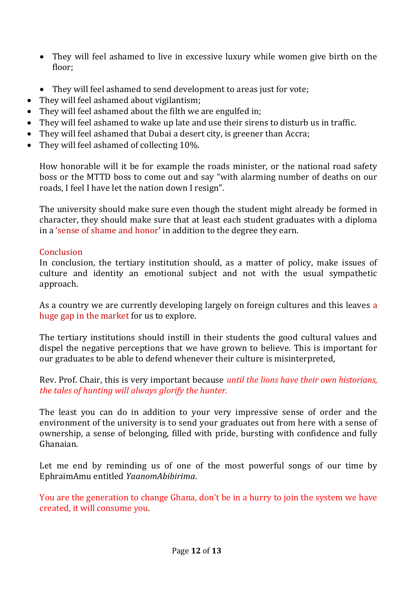- They will feel ashamed to live in excessive luxury while women give birth on the floor;
- They will feel ashamed to send development to areas just for vote;
- They will feel ashamed about vigilantism;
- They will feel ashamed about the filth we are engulfed in;
- They will feel ashamed to wake up late and use their sirens to disturb us in traffic.
- They will feel ashamed that Dubai a desert city, is greener than Accra;
- They will feel ashamed of collecting 10%.

How honorable will it be for example the roads minister, or the national road safety boss or the MTTD boss to come out and say "with alarming number of deaths on our roads, I feel I have let the nation down I resign".

The university should make sure even though the student might already be formed in character, they should make sure that at least each student graduates with a diploma in a 'sense of shame and honor' in addition to the degree they earn.

## **Conclusion**

In conclusion, the tertiary institution should, as a matter of policy, make issues of culture and identity an emotional subject and not with the usual sympathetic approach.

As a country we are currently developing largely on foreign cultures and this leaves a huge gap in the market for us to explore.

The tertiary institutions should instill in their students the good cultural values and dispel the negative perceptions that we have grown to believe. This is important for our graduates to be able to defend whenever their culture is misinterpreted,

Rev. Prof. Chair, this is very important because *until the lions have their own historians, the tales of hunting will always glorify the hunter.*

The least you can do in addition to your very impressive sense of order and the environment of the university is to send your graduates out from here with a sense of ownership, a sense of belonging, filled with pride, bursting with confidence and fully Ghanaian.

Let me end by reminding us of one of the most powerful songs of our time by EphraimAmu entitled *YaanomAbibirima*.

You are the generation to change Ghana, don't be in a hurry to join the system we have created, it will consume you.